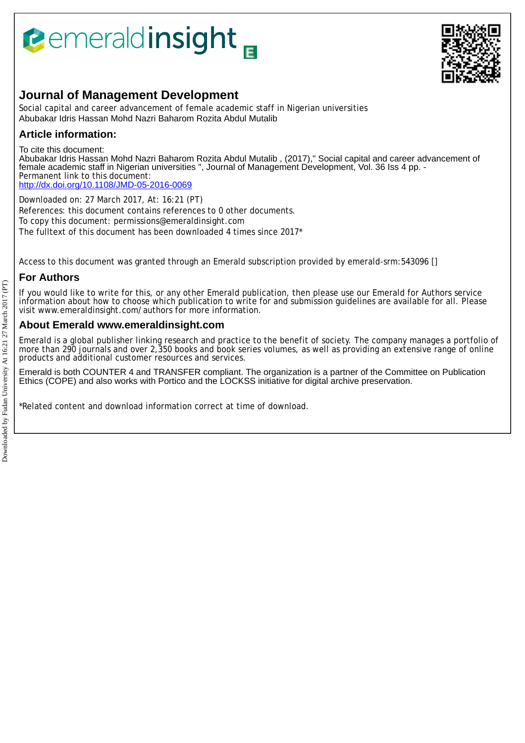# **Pemeraldinsight**



# **Journal of Management Development**

Social capital and career advancement of female academic staff in Nigerian universities Abubakar Idris Hassan Mohd Nazri Baharom Rozita Abdul Mutalib

## **Article information:**

To cite this document:

Abubakar Idris Hassan Mohd Nazri Baharom Rozita Abdul Mutalib , (2017)," Social capital and career advancement of female academic staff in Nigerian universities ", Journal of Management Development, Vol. 36 Iss 4 pp. -Permanent link to this document: <http://dx.doi.org/10.1108/JMD-05-2016-0069>

Downloaded on: 27 March 2017, At: 16:21 (PT) References: this document contains references to 0 other documents. To copy this document: permissions@emeraldinsight.com The fulltext of this document has been downloaded 4 times since 2017\*

Access to this document was granted through an Emerald subscription provided by emerald-srm:543096 []

## **For Authors**

If you would like to write for this, or any other Emerald publication, then please use our Emerald for Authors service information about how to choose which publication to write for and submission guidelines are available for all. Please visit www.emeraldinsight.com/authors for more information.

## **About Emerald www.emeraldinsight.com**

Emerald is a global publisher linking research and practice to the benefit of society. The company manages a portfolio of more than 290 journals and over 2,350 books and book series volumes, as well as providing an extensive range of online products and additional customer resources and services.

Emerald is both COUNTER 4 and TRANSFER compliant. The organization is a partner of the Committee on Publication Ethics (COPE) and also works with Portico and the LOCKSS initiative for digital archive preservation.

\*Related content and download information correct at time of download.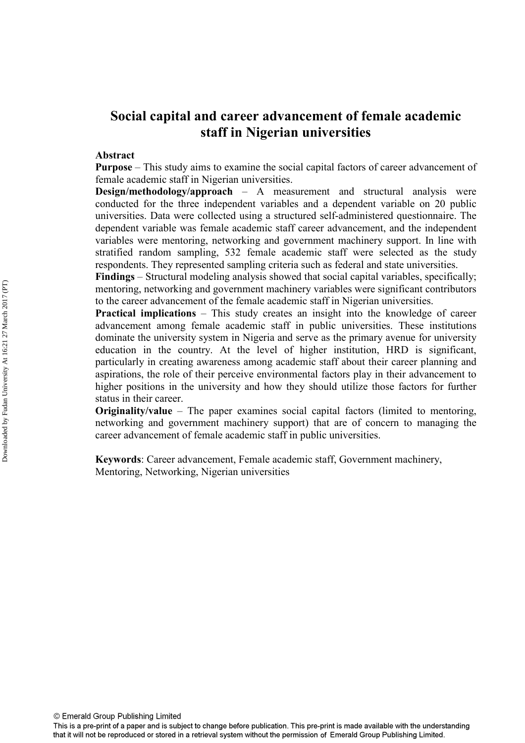## **Social capital and career advancement of female academic staff in Nigerian universities**

## **Abstract**

**Purpose** – This study aims to examine the social capital factors of career advancement of female academic staff in Nigerian universities.

**Design/methodology/approach** – A measurement and structural analysis were conducted for the three independent variables and a dependent variable on 20 public universities. Data were collected using a structured self-administered questionnaire. The dependent variable was female academic staff career advancement, and the independent variables were mentoring, networking and government machinery support. In line with stratified random sampling, 532 female academic staff were selected as the study respondents. They represented sampling criteria such as federal and state universities.

**Findings** – Structural modeling analysis showed that social capital variables, specifically; mentoring, networking and government machinery variables were significant contributors to the career advancement of the female academic staff in Nigerian universities.

**Practical implications** – This study creates an insight into the knowledge of career advancement among female academic staff in public universities. These institutions dominate the university system in Nigeria and serve as the primary avenue for university education in the country. At the level of higher institution, HRD is significant, particularly in creating awareness among academic staff about their career planning and aspirations, the role of their perceive environmental factors play in their advancement to higher positions in the university and how they should utilize those factors for further status in their career.

**Originality/value** – The paper examines social capital factors (limited to mentoring, networking and government machinery support) that are of concern to managing the career advancement of female academic staff in public universities.

**Keywords**: Career advancement, Female academic staff, Government machinery, Mentoring, Networking, Nigerian universities

© Emerald Group Publishing Limited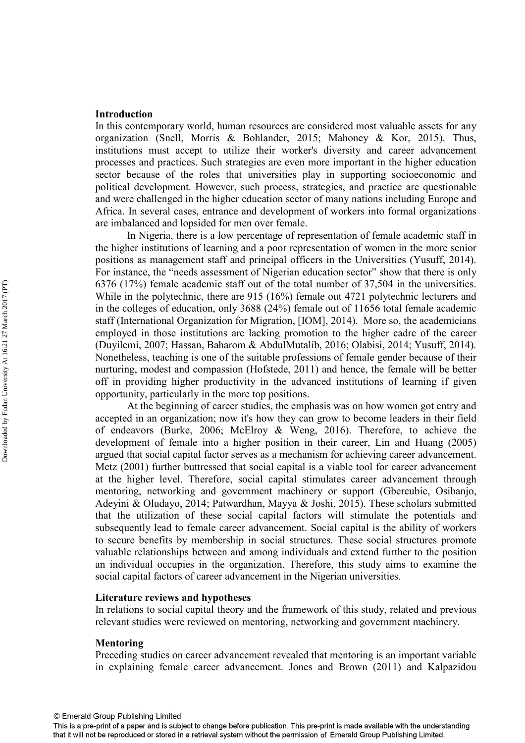## **Introduction**

In this contemporary world, human resources are considered most valuable assets for any organization (Snell, Morris & Bohlander, 2015; Mahoney & Kor, 2015). Thus, institutions must accept to utilize their worker's diversity and career advancement processes and practices. Such strategies are even more important in the higher education sector because of the roles that universities play in supporting socioeconomic and political development. However, such process, strategies, and practice are questionable and were challenged in the higher education sector of many nations including Europe and Africa. In several cases, entrance and development of workers into formal organizations are imbalanced and lopsided for men over female.

In Nigeria, there is a low percentage of representation of female academic staff in the higher institutions of learning and a poor representation of women in the more senior positions as management staff and principal officers in the Universities (Yusuff, 2014). For instance, the "needs assessment of Nigerian education sector" show that there is only 6376 (17%) female academic staff out of the total number of 37,504 in the universities. While in the polytechnic, there are 915 (16%) female out 4721 polytechnic lecturers and in the colleges of education, only 3688 (24%) female out of 11656 total female academic staff (International Organization for Migration, [IOM], 2014). More so, the academicians employed in those institutions are lacking promotion to the higher cadre of the career (Duyilemi, 2007; Hassan, Baharom & AbdulMutalib, 2016; Olabisi, 2014; Yusuff, 2014). Nonetheless, teaching is one of the suitable professions of female gender because of their nurturing, modest and compassion (Hofstede, 2011) and hence, the female will be better off in providing higher productivity in the advanced institutions of learning if given opportunity, particularly in the more top positions.

At the beginning of career studies, the emphasis was on how women got entry and accepted in an organization; now it's how they can grow to become leaders in their field of endeavors (Burke, 2006; McElroy & Weng, 2016). Therefore, to achieve the development of female into a higher position in their career, Lin and Huang (2005) argued that social capital factor serves as a mechanism for achieving career advancement. Metz (2001) further buttressed that social capital is a viable tool for career advancement at the higher level. Therefore, social capital stimulates career advancement through mentoring, networking and government machinery or support (Gbereubie, Osibanjo, Adeyini & Oludayo, 2014; Patwardhan, Mayya & Joshi, 2015). These scholars submitted that the utilization of these social capital factors will stimulate the potentials and subsequently lead to female career advancement. Social capital is the ability of workers to secure benefits by membership in social structures. These social structures promote valuable relationships between and among individuals and extend further to the position an individual occupies in the organization. Therefore, this study aims to examine the social capital factors of career advancement in the Nigerian universities.

## **Literature reviews and hypotheses**

In relations to social capital theory and the framework of this study, related and previous relevant studies were reviewed on mentoring, networking and government machinery.

#### **Mentoring**

Preceding studies on career advancement revealed that mentoring is an important variable in explaining female career advancement. Jones and Brown (2011) and Kalpazidou

This is a pre-print of a paper and is subject to change before publication. This pre-print is made available with the understanding that it will not be reproduced or stored in a retrieval system without the permission of Emerald Group Publishing Limited.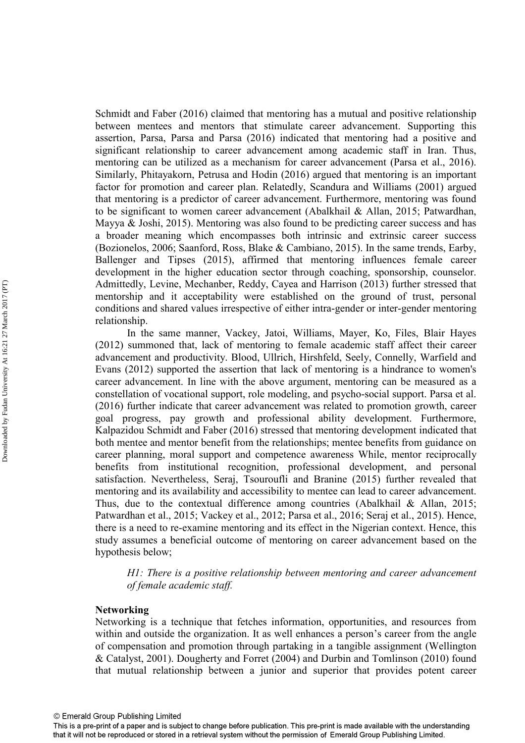Schmidt and Faber (2016) claimed that mentoring has a mutual and positive relationship between mentees and mentors that stimulate career advancement. Supporting this assertion, Parsa, Parsa and Parsa (2016) indicated that mentoring had a positive and significant relationship to career advancement among academic staff in Iran. Thus, mentoring can be utilized as a mechanism for career advancement (Parsa et al., 2016). Similarly, Phitayakorn, Petrusa and Hodin (2016) argued that mentoring is an important factor for promotion and career plan. Relatedly, Scandura and Williams (2001) argued that mentoring is a predictor of career advancement. Furthermore, mentoring was found to be significant to women career advancement (Abalkhail & Allan, 2015; Patwardhan, Mayya & Joshi, 2015). Mentoring was also found to be predicting career success and has a broader meaning which encompasses both intrinsic and extrinsic career success (Bozionelos, 2006; Saanford, Ross, Blake & Cambiano, 2015). In the same trends, Earby, Ballenger and Tipses (2015), affirmed that mentoring influences female career development in the higher education sector through coaching, sponsorship, counselor. Admittedly, Levine, Mechanber, Reddy, Cayea and Harrison (2013) further stressed that mentorship and it acceptability were established on the ground of trust, personal conditions and shared values irrespective of either intra-gender or inter-gender mentoring relationship.

In the same manner, Vackey, Jatoi, Williams, Mayer, Ko, Files, Blair Hayes (2012) summoned that, lack of mentoring to female academic staff affect their career advancement and productivity. Blood, Ullrich, Hirshfeld, Seely, Connelly, Warfield and Evans (2012) supported the assertion that lack of mentoring is a hindrance to women's career advancement. In line with the above argument, mentoring can be measured as a constellation of vocational support, role modeling, and psycho-social support. Parsa et al. (2016) further indicate that career advancement was related to promotion growth, career goal progress, pay growth and professional ability development. Furthermore, Kalpazidou Schmidt and Faber (2016) stressed that mentoring development indicated that both mentee and mentor benefit from the relationships; mentee benefits from guidance on career planning, moral support and competence awareness While, mentor reciprocally benefits from institutional recognition, professional development, and personal satisfaction. Nevertheless, Seraj, Tsouroufli and Branine (2015) further revealed that mentoring and its availability and accessibility to mentee can lead to career advancement. Thus, due to the contextual difference among countries (Abalkhail & Allan, 2015; Patwardhan et al., 2015; Vackey et al., 2012; Parsa et al., 2016; Seraj et al., 2015). Hence, there is a need to re-examine mentoring and its effect in the Nigerian context. Hence, this study assumes a beneficial outcome of mentoring on career advancement based on the hypothesis below;

*H1: There is a positive relationship between mentoring and career advancement of female academic staff.* 

## **Networking**

Networking is a technique that fetches information, opportunities, and resources from within and outside the organization. It as well enhances a person's career from the angle of compensation and promotion through partaking in a tangible assignment (Wellington & Catalyst, 2001). Dougherty and Forret (2004) and Durbin and Tomlinson (2010) found that mutual relationship between a junior and superior that provides potent career

This is a pre-print of a paper and is subject to change before publication. This pre-print is made available with the understanding that it will not be reproduced or stored in a retrieval system without the permission of Emerald Group Publishing Limited.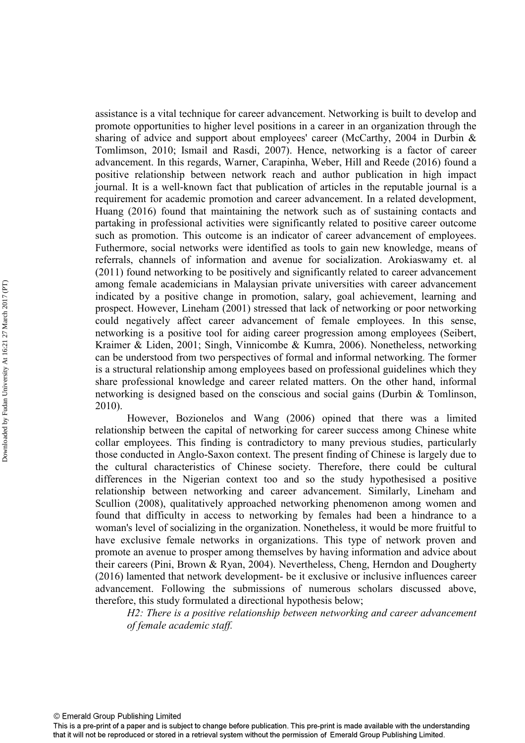assistance is a vital technique for career advancement. Networking is built to develop and promote opportunities to higher level positions in a career in an organization through the sharing of advice and support about employees' career (McCarthy, 2004 in Durbin & Tomlimson, 2010; Ismail and Rasdi, 2007). Hence, networking is a factor of career advancement. In this regards, Warner, Carapinha, Weber, Hill and Reede (2016) found a positive relationship between network reach and author publication in high impact journal. It is a well-known fact that publication of articles in the reputable journal is a requirement for academic promotion and career advancement. In a related development, Huang (2016) found that maintaining the network such as of sustaining contacts and partaking in professional activities were significantly related to positive career outcome such as promotion. This outcome is an indicator of career advancement of employees. Futhermore, social networks were identified as tools to gain new knowledge, means of referrals, channels of information and avenue for socialization. Arokiaswamy et. al (2011) found networking to be positively and significantly related to career advancement among female academicians in Malaysian private universities with career advancement indicated by a positive change in promotion, salary, goal achievement, learning and prospect. However, Lineham (2001) stressed that lack of networking or poor networking could negatively affect career advancement of female employees. In this sense, networking is a positive tool for aiding career progression among employees (Seibert, Kraimer & Liden, 2001; Singh, Vinnicombe & Kumra, 2006). Nonetheless, networking can be understood from two perspectives of formal and informal networking. The former is a structural relationship among employees based on professional guidelines which they share professional knowledge and career related matters. On the other hand, informal networking is designed based on the conscious and social gains (Durbin & Tomlinson, 2010).

 However, Bozionelos and Wang (2006) opined that there was a limited relationship between the capital of networking for career success among Chinese white collar employees. This finding is contradictory to many previous studies, particularly those conducted in Anglo-Saxon context. The present finding of Chinese is largely due to the cultural characteristics of Chinese society. Therefore, there could be cultural differences in the Nigerian context too and so the study hypothesised a positive relationship between networking and career advancement. Similarly, Lineham and Scullion (2008), qualitatively approached networking phenomenon among women and found that difficulty in access to networking by females had been a hindrance to a woman's level of socializing in the organization. Nonetheless, it would be more fruitful to have exclusive female networks in organizations. This type of network proven and promote an avenue to prosper among themselves by having information and advice about their careers (Pini, Brown & Ryan, 2004). Nevertheless, Cheng, Herndon and Dougherty (2016) lamented that network development- be it exclusive or inclusive influences career advancement. Following the submissions of numerous scholars discussed above, therefore, this study formulated a directional hypothesis below;

*H2: There is a positive relationship between networking and career advancement of female academic staff.*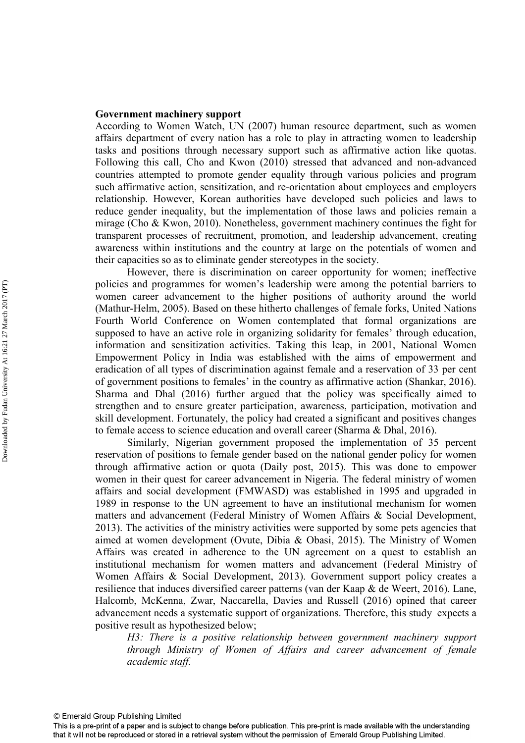## **Government machinery support**

According to Women Watch, UN (2007) human resource department, such as women affairs department of every nation has a role to play in attracting women to leadership tasks and positions through necessary support such as affirmative action like quotas. Following this call, Cho and Kwon (2010) stressed that advanced and non-advanced countries attempted to promote gender equality through various policies and program such affirmative action, sensitization, and re-orientation about employees and employers relationship. However, Korean authorities have developed such policies and laws to reduce gender inequality, but the implementation of those laws and policies remain a mirage (Cho & Kwon, 2010). Nonetheless, government machinery continues the fight for transparent processes of recruitment, promotion, and leadership advancement, creating awareness within institutions and the country at large on the potentials of women and their capacities so as to eliminate gender stereotypes in the society.

However, there is discrimination on career opportunity for women; ineffective policies and programmes for women's leadership were among the potential barriers to women career advancement to the higher positions of authority around the world (Mathur-Helm, 2005). Based on these hitherto challenges of female forks, United Nations Fourth World Conference on Women contemplated that formal organizations are supposed to have an active role in organizing solidarity for females' through education, information and sensitization activities. Taking this leap, in 2001, National Women Empowerment Policy in India was established with the aims of empowerment and eradication of all types of discrimination against female and a reservation of 33 per cent of government positions to females' in the country as affirmative action (Shankar, 2016). Sharma and Dhal (2016) further argued that the policy was specifically aimed to strengthen and to ensure greater participation, awareness, participation, motivation and skill development. Fortunately, the policy had created a significant and positives changes to female access to science education and overall career (Sharma & Dhal, 2016).

Similarly, Nigerian government proposed the implementation of 35 percent reservation of positions to female gender based on the national gender policy for women through affirmative action or quota (Daily post, 2015). This was done to empower women in their quest for career advancement in Nigeria. The federal ministry of women affairs and social development (FMWASD) was established in 1995 and upgraded in 1989 in response to the UN agreement to have an institutional mechanism for women matters and advancement (Federal Ministry of Women Affairs & Social Development, 2013). The activities of the ministry activities were supported by some pets agencies that aimed at women development (Ovute, Dibia & Obasi, 2015). The Ministry of Women Affairs was created in adherence to the UN agreement on a quest to establish an institutional mechanism for women matters and advancement (Federal Ministry of Women Affairs & Social Development, 2013). Government support policy creates a resilience that induces diversified career patterns (van der Kaap & de Weert, 2016). Lane, Halcomb, McKenna, Zwar, Naccarella, Davies and Russell (2016) opined that career advancement needs a systematic support of organizations. Therefore, this study expects a positive result as hypothesized below;

*H3: There is a positive relationship between government machinery support through Ministry of Women of Affairs and career advancement of female academic staff.* 

This is a pre-print of a paper and is subject to change before publication. This pre-print is made available with the understanding that it will not be reproduced or stored in a retrieval system without the permission of Emerald Group Publishing Limited.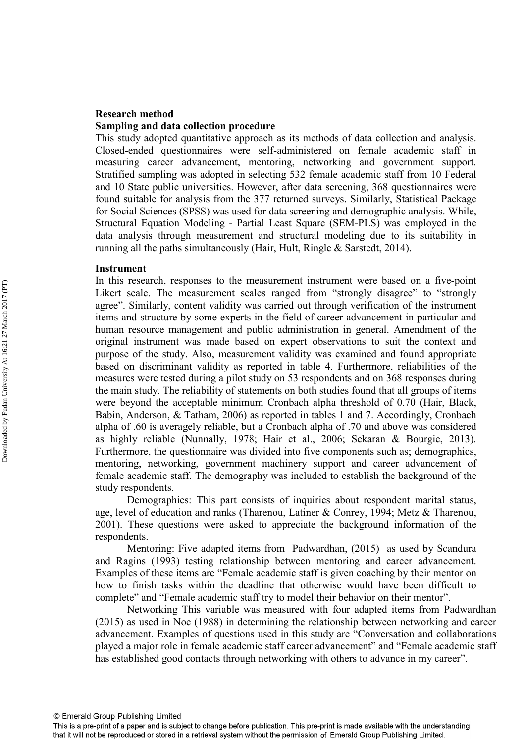## **Research method Sampling and data collection procedure**

This study adopted quantitative approach as its methods of data collection and analysis. Closed-ended questionnaires were self-administered on female academic staff in measuring career advancement, mentoring, networking and government support. Stratified sampling was adopted in selecting 532 female academic staff from 10 Federal and 10 State public universities. However, after data screening, 368 questionnaires were found suitable for analysis from the 377 returned surveys. Similarly, Statistical Package for Social Sciences (SPSS) was used for data screening and demographic analysis. While, Structural Equation Modeling - Partial Least Square (SEM-PLS) was employed in the data analysis through measurement and structural modeling due to its suitability in running all the paths simultaneously (Hair, Hult, Ringle & Sarstedt, 2014).

## **Instrument**

In this research, responses to the measurement instrument were based on a five-point Likert scale. The measurement scales ranged from "strongly disagree" to "strongly agree". Similarly, content validity was carried out through verification of the instrument items and structure by some experts in the field of career advancement in particular and human resource management and public administration in general. Amendment of the original instrument was made based on expert observations to suit the context and purpose of the study. Also, measurement validity was examined and found appropriate based on discriminant validity as reported in table 4. Furthermore, reliabilities of the measures were tested during a pilot study on 53 respondents and on 368 responses during the main study. The reliability of statements on both studies found that all groups of items were beyond the acceptable minimum Cronbach alpha threshold of 0.70 (Hair, Black, Babin, Anderson, & Tatham, 2006) as reported in tables 1 and 7. Accordingly, Cronbach alpha of .60 is averagely reliable, but a Cronbach alpha of .70 and above was considered as highly reliable (Nunnally, 1978; Hair et al., 2006; Sekaran & Bourgie, 2013). Furthermore, the questionnaire was divided into five components such as; demographics, mentoring, networking, government machinery support and career advancement of female academic staff. The demography was included to establish the background of the study respondents.

Demographics: This part consists of inquiries about respondent marital status, age, level of education and ranks (Tharenou, Latiner & Conrey, 1994; Metz & Tharenou, 2001). These questions were asked to appreciate the background information of the respondents.

Mentoring: Five adapted items from Padwardhan, (2015) as used by Scandura and Ragins (1993) testing relationship between mentoring and career advancement. Examples of these items are "Female academic staff is given coaching by their mentor on how to finish tasks within the deadline that otherwise would have been difficult to complete" and "Female academic staff try to model their behavior on their mentor".

 Networking This variable was measured with four adapted items from Padwardhan (2015) as used in Noe (1988) in determining the relationship between networking and career advancement. Examples of questions used in this study are "Conversation and collaborations played a major role in female academic staff career advancement" and "Female academic staff has established good contacts through networking with others to advance in my career".

© Emerald Group Publishing Limited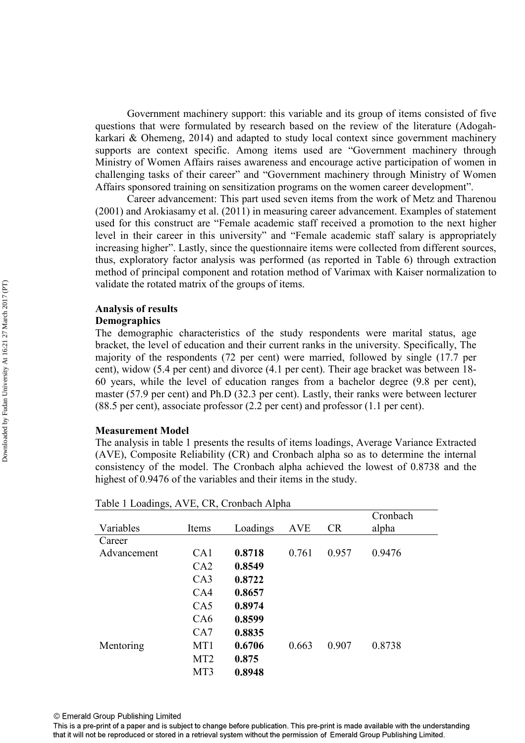Government machinery support: this variable and its group of items consisted of five questions that were formulated by research based on the review of the literature (Adogahkarkari & Ohemeng, 2014) and adapted to study local context since government machinery supports are context specific. Among items used are "Government machinery through Ministry of Women Affairs raises awareness and encourage active participation of women in challenging tasks of their career" and "Government machinery through Ministry of Women Affairs sponsored training on sensitization programs on the women career development".

 Career advancement: This part used seven items from the work of Metz and Tharenou (2001) and Arokiasamy et al. (2011) in measuring career advancement. Examples of statement used for this construct are "Female academic staff received a promotion to the next higher level in their career in this university" and "Female academic staff salary is appropriately increasing higher". Lastly, since the questionnaire items were collected from different sources, thus, exploratory factor analysis was performed (as reported in Table 6) through extraction method of principal component and rotation method of Varimax with Kaiser normalization to validate the rotated matrix of the groups of items.

# **Analysis of results**

## **Demographics**

The demographic characteristics of the study respondents were marital status, age bracket, the level of education and their current ranks in the university. Specifically, The majority of the respondents (72 per cent) were married, followed by single (17.7 per cent), widow (5.4 per cent) and divorce (4.1 per cent). Their age bracket was between 18- 60 years, while the level of education ranges from a bachelor degree (9.8 per cent), master (57.9 per cent) and Ph.D (32.3 per cent). Lastly, their ranks were between lecturer (88.5 per cent), associate professor (2.2 per cent) and professor (1.1 per cent).

## **Measurement Model**

The analysis in table 1 presents the results of items loadings, Average Variance Extracted (AVE), Composite Reliability (CR) and Cronbach alpha so as to determine the internal consistency of the model. The Cronbach alpha achieved the lowest of 0.8738 and the highest of 0.9476 of the variables and their items in the study.

| ັ<br>Variables | Items           | л.<br>Loadings | <b>AVE</b> | CR    | Cronbach<br>alpha |
|----------------|-----------------|----------------|------------|-------|-------------------|
| Career         |                 |                |            |       |                   |
| Advancement    | CA1             | 0.8718         | 0.761      | 0.957 | 0.9476            |
|                | CA2             | 0.8549         |            |       |                   |
|                | CA3             | 0.8722         |            |       |                   |
|                | CA4             | 0.8657         |            |       |                   |
|                | CA5             | 0.8974         |            |       |                   |
|                | CA6             | 0.8599         |            |       |                   |
|                | CA7             | 0.8835         |            |       |                   |
| Mentoring      | MT1             | 0.6706         | 0.663      | 0.907 | 0.8738            |
|                | MT <sub>2</sub> | 0.875          |            |       |                   |
|                | MT3             | 0.8948         |            |       |                   |

Table 1 Loadings, AVE, CR, Cronbach Alpha

© Emerald Group Publishing Limited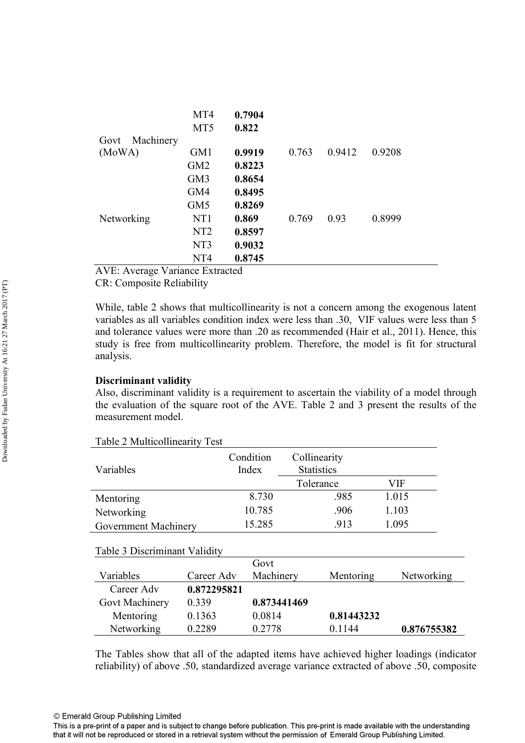|                   | MT4             | 0.7904 |       |        |        |
|-------------------|-----------------|--------|-------|--------|--------|
|                   | MT <sub>5</sub> | 0.822  |       |        |        |
| Machinery<br>Govt |                 |        |       |        |        |
| (MoWA)            | GM1             | 0.9919 | 0.763 | 0.9412 | 0.9208 |
|                   | GM <sub>2</sub> | 0.8223 |       |        |        |
|                   | GM3             | 0.8654 |       |        |        |
|                   | GM4             | 0.8495 |       |        |        |
|                   | GM <sub>5</sub> | 0.8269 |       |        |        |
| Networking        | NT1             | 0.869  | 0.769 | 0.93   | 0.8999 |
|                   | NT <sub>2</sub> | 0.8597 |       |        |        |
|                   | NT3             | 0.9032 |       |        |        |
|                   | NT4             | 0.8745 |       |        |        |

AVE: Average Variance Extracted

CR: Composite Reliability

While, table 2 shows that multicollinearity is not a concern among the exogenous latent variables as all variables condition index were less than .30, VIF values were less than 5 and tolerance values were more than .20 as recommended (Hair et al., 2011). Hence, this study is free from multicollinearity problem. Therefore, the model is fit for structural analysis.

## **Discriminant validity**

Also, discriminant validity is a requirement to ascertain the viability of a model through the evaluation of the square root of the AVE. Table 2 and 3 present the results of the measurement model.

| Variables                     | Condition<br>Index | Collinearity<br><b>Statistics</b> |       |
|-------------------------------|--------------------|-----------------------------------|-------|
|                               |                    | Tolerance                         | VIF   |
| Mentoring                     | 8.730              | .985                              | 1.015 |
| Networking                    | 10.785             | .906                              | 1.103 |
| Government Machinery          | 15.285             | .913                              | 1.095 |
|                               |                    |                                   |       |
| Table 3 Discriminant Validity |                    |                                   |       |
|                               | $\sim$ $\sim$      |                                   |       |

Table 2 Multicollinearity Test

|                |             | Govt        |            |             |
|----------------|-------------|-------------|------------|-------------|
| Variables      | Career Adv  | Machinery   | Mentoring  | Networking  |
| Career Adv     | 0.872295821 |             |            |             |
| Govt Machinery | 0.339       | 0.873441469 |            |             |
| Mentoring      | 0.1363      | 0.0814      | 0.81443232 |             |
| Networking     | 0.2289      | 0.2778      | 0 1 1 4 4  | 0.876755382 |

The Tables show that all of the adapted items have achieved higher loadings (indicator reliability) of above .50, standardized average variance extracted of above .50, composite

© Emerald Group Publishing Limited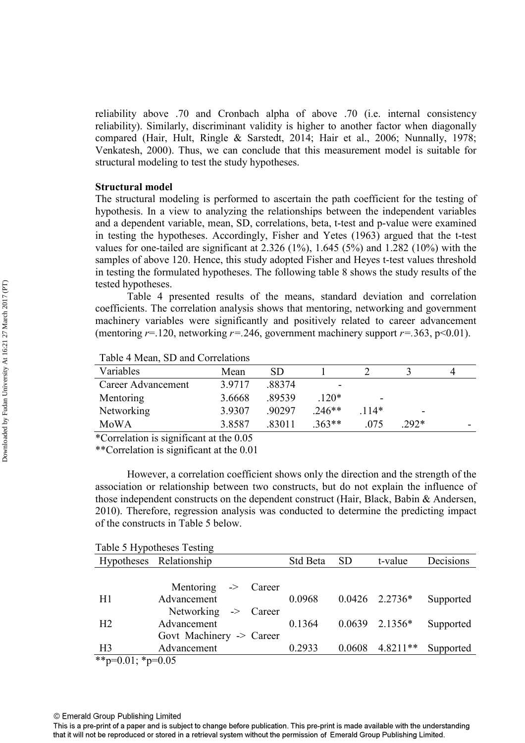reliability above .70 and Cronbach alpha of above .70 (i.e. internal consistency reliability). Similarly, discriminant validity is higher to another factor when diagonally compared (Hair, Hult, Ringle & Sarstedt, 2014; Hair et al., 2006; Nunnally, 1978; Venkatesh, 2000). Thus, we can conclude that this measurement model is suitable for structural modeling to test the study hypotheses.

### **Structural model**

The structural modeling is performed to ascertain the path coefficient for the testing of hypothesis. In a view to analyzing the relationships between the independent variables and a dependent variable, mean, SD, correlations, beta, t-test and p-value were examined in testing the hypotheses. Accordingly, Fisher and Yetes (1963) argued that the t-test values for one-tailed are significant at  $2.326 (1\%)$ ,  $1.645 (5\%)$  and  $1.282 (10\%)$  with the samples of above 120. Hence, this study adopted Fisher and Heyes t-test values threshold in testing the formulated hypotheses. The following table 8 shows the study results of the tested hypotheses.

Table 4 presented results of the means, standard deviation and correlation coefficients. The correlation analysis shows that mentoring, networking and government machinery variables were significantly and positively related to career advancement (mentoring  $r=120$ , networking  $r=.246$ , government machinery support  $r=.363$ , p<0.01).

| Variables          | Mean   | SD     |          |                          |        | Д |
|--------------------|--------|--------|----------|--------------------------|--------|---|
| Career Advancement | 3.9717 | .88374 |          |                          |        |   |
| Mentoring          | 3.6668 | .89539 | $120*$   | $\overline{\phantom{0}}$ |        |   |
| Networking         | 3.9307 | 90297  | $.246**$ | $114*$                   | -      |   |
| MoWA               | 3.8587 | .83011 | $.363**$ | 075                      | $292*$ | - |

Table 4 Mean, SD and Correlations

\*Correlation is significant at the 0.05

\*\*Correlation is significant at the 0.01

However, a correlation coefficient shows only the direction and the strength of the association or relationship between two constructs, but do not explain the influence of those independent constructs on the dependent construct (Hair, Black, Babin & Andersen, 2010). Therefore, regression analysis was conducted to determine the predicting impact of the constructs in Table 5 below.

|                   | Table 5 Hypotheses Testing |          |           |                  |           |
|-------------------|----------------------------|----------|-----------|------------------|-----------|
|                   | Hypotheses Relationship    | Std Beta | <b>SD</b> | t-value          | Decisions |
|                   |                            |          |           |                  |           |
|                   | Mentoring -> Career        |          |           |                  |           |
| H1                | Advancement                | 0.0968   |           | $0.0426$ 2.2736* | Supported |
|                   | Networking -> Career       |          |           |                  |           |
| H2                | Advancement                | 0.1364   |           | $0.0639$ 2.1356* | Supported |
|                   | Govt Machinery -> Career   |          |           |                  |           |
| H <sub>3</sub>    | Advancement                | 0.2933   | 0.0608    | $4.8211**$       | Supported |
| **p=0.01; *p=0.05 |                            |          |           |                  |           |

This is a pre-print of a paper and is subject to change before publication. This pre-print is made available with the understanding that it will not be reproduced or stored in a retrieval system without the permission of Emerald Group Publishing Limited.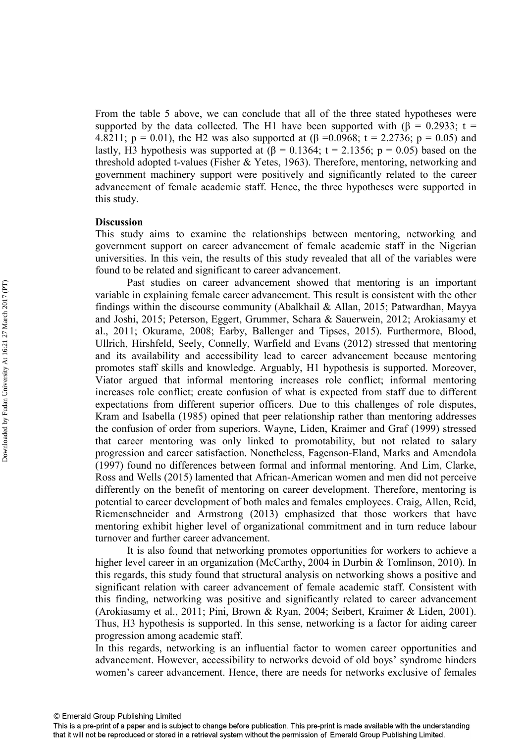From the table 5 above, we can conclude that all of the three stated hypotheses were supported by the data collected. The H1 have been supported with ( $\beta = 0.2933$ ; t = 4.8211;  $p = 0.01$ ), the H2 was also supported at  $(\beta = 0.0968; t = 2.2736; p = 0.05)$  and lastly, H3 hypothesis was supported at  $(\beta = 0.1364; t = 2.1356; p = 0.05)$  based on the threshold adopted t-values (Fisher & Yetes, 1963). Therefore, mentoring, networking and government machinery support were positively and significantly related to the career advancement of female academic staff. Hence, the three hypotheses were supported in this study.

## **Discussion**

This study aims to examine the relationships between mentoring, networking and government support on career advancement of female academic staff in the Nigerian universities. In this vein, the results of this study revealed that all of the variables were found to be related and significant to career advancement.

 Past studies on career advancement showed that mentoring is an important variable in explaining female career advancement. This result is consistent with the other findings within the discourse community (Abalkhail & Allan, 2015; Patwardhan, Mayya and Joshi, 2015; Peterson, Eggert, Grummer, Schara & Sauerwein, 2012; Arokiasamy et al., 2011; Okurame, 2008; Earby, Ballenger and Tipses, 2015). Furthermore, Blood, Ullrich, Hirshfeld, Seely, Connelly, Warfield and Evans (2012) stressed that mentoring and its availability and accessibility lead to career advancement because mentoring promotes staff skills and knowledge. Arguably, H1 hypothesis is supported. Moreover, Viator argued that informal mentoring increases role conflict; informal mentoring increases role conflict; create confusion of what is expected from staff due to different expectations from different superior officers. Due to this challenges of role disputes, Kram and Isabella (1985) opined that peer relationship rather than mentoring addresses the confusion of order from superiors. Wayne, Liden, Kraimer and Graf (1999) stressed that career mentoring was only linked to promotability, but not related to salary progression and career satisfaction. Nonetheless, Fagenson-Eland, Marks and Amendola (1997) found no differences between formal and informal mentoring. And Lim, Clarke, Ross and Wells (2015) lamented that African-American women and men did not perceive differently on the benefit of mentoring on career development. Therefore, mentoring is potential to career development of both males and females employees. Craig, Allen, Reid, Riemenschneider and Armstrong (2013) emphasized that those workers that have mentoring exhibit higher level of organizational commitment and in turn reduce labour turnover and further career advancement.

It is also found that networking promotes opportunities for workers to achieve a higher level career in an organization (McCarthy, 2004 in Durbin & Tomlinson, 2010). In this regards, this study found that structural analysis on networking shows a positive and significant relation with career advancement of female academic staff. Consistent with this finding, networking was positive and significantly related to career advancement (Arokiasamy et al., 2011; Pini, Brown & Ryan, 2004; Seibert, Kraimer & Liden, 2001). Thus, H3 hypothesis is supported. In this sense, networking is a factor for aiding career progression among academic staff.

In this regards, networking is an influential factor to women career opportunities and advancement. However, accessibility to networks devoid of old boys' syndrome hinders women's career advancement. Hence, there are needs for networks exclusive of females

This is a pre-print of a paper and is subject to change before publication. This pre-print is made available with the understanding that it will not be reproduced or stored in a retrieval system without the permission of Emerald Group Publishing Limited.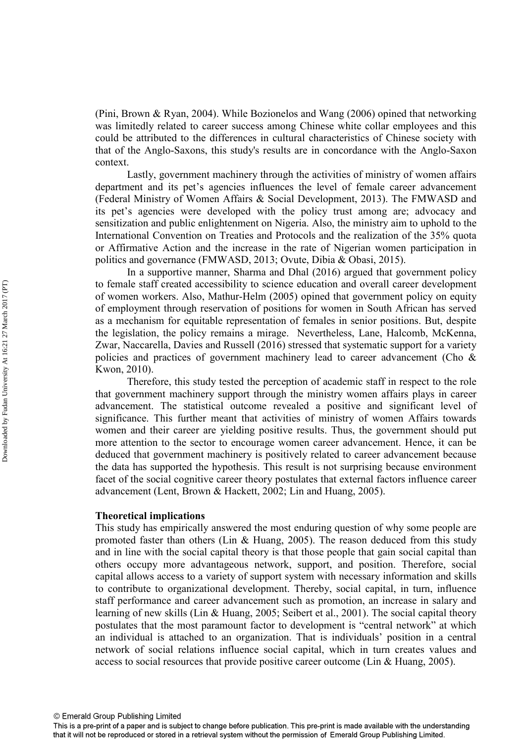(Pini, Brown & Ryan, 2004). While Bozionelos and Wang (2006) opined that networking was limitedly related to career success among Chinese white collar employees and this could be attributed to the differences in cultural characteristics of Chinese society with that of the Anglo-Saxons, this study's results are in concordance with the Anglo-Saxon context.

Lastly, government machinery through the activities of ministry of women affairs department and its pet's agencies influences the level of female career advancement (Federal Ministry of Women Affairs & Social Development, 2013). The FMWASD and its pet's agencies were developed with the policy trust among are; advocacy and sensitization and public enlightenment on Nigeria. Also, the ministry aim to uphold to the International Convention on Treaties and Protocols and the realization of the 35% quota or Affirmative Action and the increase in the rate of Nigerian women participation in politics and governance (FMWASD, 2013; Ovute, Dibia & Obasi, 2015).

In a supportive manner, Sharma and Dhal (2016) argued that government policy to female staff created accessibility to science education and overall career development of women workers. Also, Mathur-Helm (2005) opined that government policy on equity of employment through reservation of positions for women in South African has served as a mechanism for equitable representation of females in senior positions. But, despite the legislation, the policy remains a mirage. Nevertheless, Lane, Halcomb, McKenna, Zwar, Naccarella, Davies and Russell (2016) stressed that systematic support for a variety policies and practices of government machinery lead to career advancement (Cho & Kwon, 2010).

 Therefore, this study tested the perception of academic staff in respect to the role that government machinery support through the ministry women affairs plays in career advancement. The statistical outcome revealed a positive and significant level of significance. This further meant that activities of ministry of women Affairs towards women and their career are yielding positive results. Thus, the government should put more attention to the sector to encourage women career advancement. Hence, it can be deduced that government machinery is positively related to career advancement because the data has supported the hypothesis. This result is not surprising because environment facet of the social cognitive career theory postulates that external factors influence career advancement (Lent, Brown & Hackett, 2002; Lin and Huang, 2005).

## **Theoretical implications**

This study has empirically answered the most enduring question of why some people are promoted faster than others (Lin & Huang, 2005). The reason deduced from this study and in line with the social capital theory is that those people that gain social capital than others occupy more advantageous network, support, and position. Therefore, social capital allows access to a variety of support system with necessary information and skills to contribute to organizational development. Thereby, social capital, in turn, influence staff performance and career advancement such as promotion, an increase in salary and learning of new skills (Lin & Huang, 2005; Seibert et al., 2001). The social capital theory postulates that the most paramount factor to development is "central network" at which an individual is attached to an organization. That is individuals' position in a central network of social relations influence social capital, which in turn creates values and access to social resources that provide positive career outcome (Lin & Huang, 2005).

Downloaded by Fudan University At 16:21 27 March 2017 (PT) Downloaded by Fudan University At 16:21 27 March 2017 (PT)

This is a pre-print of a paper and is subject to change before publication. This pre-print is made available with the understanding that it will not be reproduced or stored in a retrieval system without the permission of Emerald Group Publishing Limited.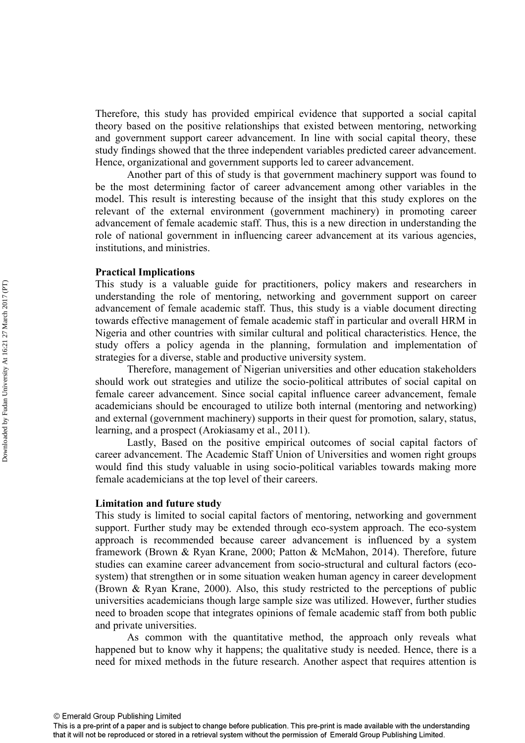Therefore, this study has provided empirical evidence that supported a social capital theory based on the positive relationships that existed between mentoring, networking and government support career advancement. In line with social capital theory, these study findings showed that the three independent variables predicted career advancement. Hence, organizational and government supports led to career advancement.

 Another part of this of study is that government machinery support was found to be the most determining factor of career advancement among other variables in the model. This result is interesting because of the insight that this study explores on the relevant of the external environment (government machinery) in promoting career advancement of female academic staff. Thus, this is a new direction in understanding the role of national government in influencing career advancement at its various agencies, institutions, and ministries.

## **Practical Implications**

This study is a valuable guide for practitioners, policy makers and researchers in understanding the role of mentoring, networking and government support on career advancement of female academic staff. Thus, this study is a viable document directing towards effective management of female academic staff in particular and overall HRM in Nigeria and other countries with similar cultural and political characteristics. Hence, the study offers a policy agenda in the planning, formulation and implementation of strategies for a diverse, stable and productive university system.

Therefore, management of Nigerian universities and other education stakeholders should work out strategies and utilize the socio-political attributes of social capital on female career advancement. Since social capital influence career advancement, female academicians should be encouraged to utilize both internal (mentoring and networking) and external (government machinery) supports in their quest for promotion, salary, status, learning, and a prospect (Arokiasamy et al., 2011).

Lastly, Based on the positive empirical outcomes of social capital factors of career advancement. The Academic Staff Union of Universities and women right groups would find this study valuable in using socio-political variables towards making more female academicians at the top level of their careers.

## **Limitation and future study**

This study is limited to social capital factors of mentoring, networking and government support. Further study may be extended through eco-system approach. The eco-system approach is recommended because career advancement is influenced by a system framework (Brown & Ryan Krane, 2000; Patton & McMahon, 2014). Therefore, future studies can examine career advancement from socio-structural and cultural factors (ecosystem) that strengthen or in some situation weaken human agency in career development (Brown & Ryan Krane, 2000). Also, this study restricted to the perceptions of public universities academicians though large sample size was utilized. However, further studies need to broaden scope that integrates opinions of female academic staff from both public and private universities.

 As common with the quantitative method, the approach only reveals what happened but to know why it happens; the qualitative study is needed. Hence, there is a need for mixed methods in the future research. Another aspect that requires attention is

This is a pre-print of a paper and is subject to change before publication. This pre-print is made available with the understanding that it will not be reproduced or stored in a retrieval system without the permission of Emerald Group Publishing Limited.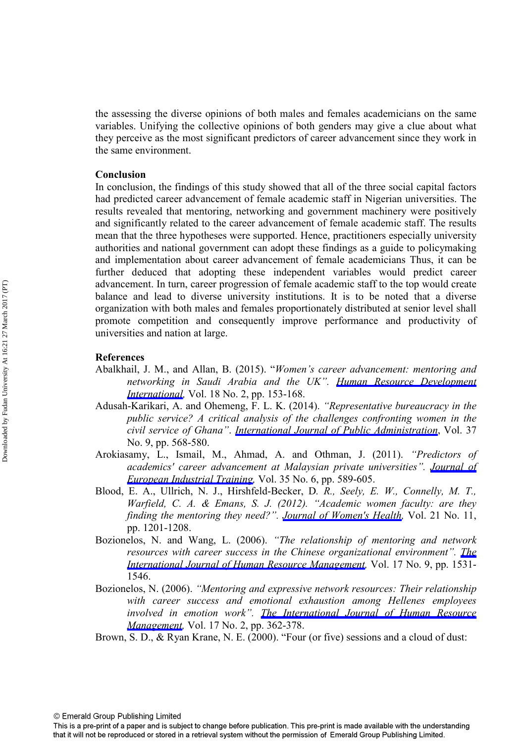the assessing the diverse opinions of both males and females academicians on the same variables. Unifying the collective opinions of both genders may give a clue about what they perceive as the most significant predictors of career advancement since they work in the same environment.

## **Conclusion**

In conclusion, the findings of this study showed that all of the three social capital factors had predicted career advancement of female academic staff in Nigerian universities. The results revealed that mentoring, networking and government machinery were positively and significantly related to the career advancement of female academic staff. The results mean that the three hypotheses were supported. Hence, practitioners especially university authorities and national government can adopt these findings as a guide to policymaking and implementation about career advancement of female academicians Thus, it can be further deduced that adopting these independent variables would predict career advancement. In turn, career progression of female academic staff to the top would create balance and lead to diverse university institutions. It is to be noted that a diverse organization with both males and females proportionately distributed at senior level shall promote competition and consequently improve performance and productivity of universities and nation at large.

## **References**

- Abalkhail, J. M., and Allan, B. (2015). "*Women's career advancement: mentoring and networking in Saudi Arabia and the UK". [Human Resource Development](http://www.emeraldinsight.com/action/showLinks?crossref=10.1080%2F13678868.2015.1026548) [International](http://www.emeraldinsight.com/action/showLinks?crossref=10.1080%2F13678868.2015.1026548),* Vol. 18 No. 2, pp. 153-168.
- Adusah-Karikari, A. and Ohemeng, F. L. K. (2014). *"Representative bureaucracy in the public service? A critical analysis of the challenges confronting women in the civil service of Ghana"*. *[International Journal of Public Administration](http://www.emeraldinsight.com/action/showLinks?crossref=10.1080%2F01900692.2013.879882)*, Vol. 37 No. 9, pp. 568-580.
- Arokiasamy, L., Ismail, M., Ahmad, A. and Othman, J. (2011). *"Predictors of academics' career advancement at Malaysian private universities". [Journal of](http://www.emeraldinsight.com/action/showLinks?system=10.1108%2F03090591111150112) [European Industrial Training,](http://www.emeraldinsight.com/action/showLinks?system=10.1108%2F03090591111150112)* Vol. 35 No. 6, pp. 589-605.
- Blood, E. A., Ullrich, N. J., Hirshfeld-Becker, D*. R., Seely, E. W., Connelly, M. T., Warfield, C. A. & Emans, S. J. (2012). "Academic women faculty: are they finding the mentoring they need?". [Journal of Women's Health](http://www.emeraldinsight.com/action/showLinks?crossref=10.1089%2Fjwh.2012.3529),* Vol. 21 No. 11, pp. 1201-1208.
- Bozionelos, N. and Wang, L. (2006). *"The relationship of mentoring and network resources with career success in the Chinese organizational environment". [The](http://www.emeraldinsight.com/action/showLinks?crossref=10.1080%2F09585190600878345) [International Journal of Human Resource Management,](http://www.emeraldinsight.com/action/showLinks?crossref=10.1080%2F09585190600878345)* Vol. 17 No. 9, pp. 1531- 1546.
- Bozionelos, N. (2006). *"Mentoring and expressive network resources: Their relationship with career success and emotional exhaustion among Hellenes employees involved in emotion work". [The International Journal of Human Resource](http://www.emeraldinsight.com/action/showLinks?crossref=10.1080%2F09585190500405009) [Management](http://www.emeraldinsight.com/action/showLinks?crossref=10.1080%2F09585190500405009),* Vol. 17 No. 2, pp. 362-378.
- Brown, S. D., & Ryan Krane, N. E. (2000). "Four (or five) sessions and a cloud of dust:

This is a pre-print of a paper and is subject to change before publication. This pre-print is made available with the understanding that it will not be reproduced or stored in a retrieval system without the permission of Emerald Group Publishing Limited.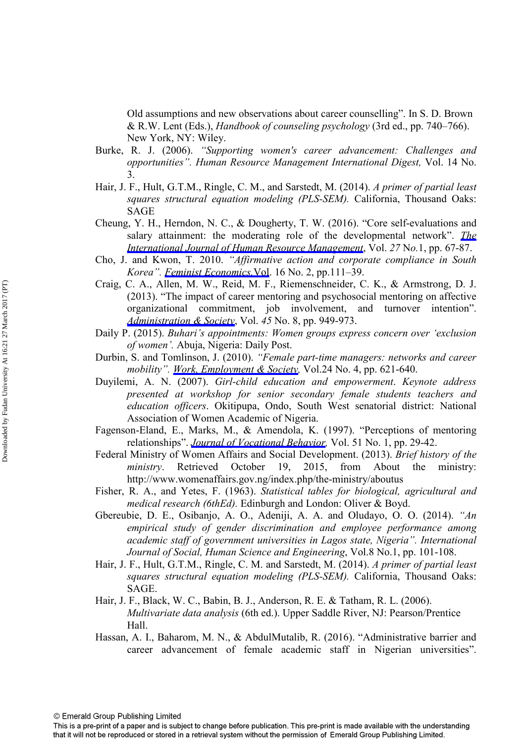Old assumptions and new observations about career counselling". In S. D. Brown & R.W. Lent (Eds.), *Handbook of counseling psychology* (3rd ed., pp. 740–766). New York, NY: Wiley.

- Burke, R. J. (2006). *"Supporting women's career advancement: Challenges and opportunities". Human Resource Management International Digest,* Vol. 14 No. 3.
- Hair, J. F., Hult, G.T.M., Ringle, C. M., and Sarstedt, M. (2014). *A primer of partial least squares structural equation modeling (PLS-SEM).* California, Thousand Oaks: SAGE
- Cheung, Y. H., Herndon, N. C., & Dougherty, T. W. (2016). "Core self-evaluations and salary attainment: the moderating role of the developmental network". *[The](http://www.emeraldinsight.com/action/showLinks?crossref=10.1080%2F09585192.2015.1042897) [International Journal of Human Resource Management](http://www.emeraldinsight.com/action/showLinks?crossref=10.1080%2F09585192.2015.1042897)*, Vol. *27* N*o.*1, pp. 67-87.
- Cho, J. and Kwon, T. 2010. *"Affirmative action and corporate compliance in South Korea". [Feminist Economics,](http://www.emeraldinsight.com/action/showLinks?crossref=10.1080%2F13545701003731849)*Vol. 16 No. 2, pp.111–39.
- Craig, C. A., Allen, M. W., Reid, M. F., Riemenschneider, C. K., & Armstrong, D. J. (2013). "The impact of career mentoring and psychosocial mentoring on affective organizational commitment, job involvement, and turnover intention". *[Administration & Society](http://www.emeraldinsight.com/action/showLinks?crossref=10.1177%2F0095399712451885)*, Vol. *45* No. 8, pp. 949-973.
- Daily P. (2015). *Buhari's appointments: Women groups express concern over 'exclusion of women'.* Abuja, Nigeria: Daily Post.
- Durbin, S. and Tomlinson, J. (2010). *"Female part-time managers: networks and career mobility". [Work, Employment & Society,](http://www.emeraldinsight.com/action/showLinks?crossref=10.1177%2F0950017010380631)* Vol.24 No. 4, pp. 621-640.
- Duyilemi, A. N. (2007). *Girl-child education and empowerment*. *Keynote address presented at workshop for senior secondary female students teachers and education officers*. Okitipupa, Ondo, South West senatorial district: National Association of Women Academic of Nigeria.
- Fagenson-Eland, E., Marks, M., & Amendola, K. (1997). "Perceptions of mentoring relationships". *[Journal of Vocational Behavior,](http://www.emeraldinsight.com/action/showLinks?crossref=10.1006%2Fjvbe.1997.1592)* Vol. 51 No. 1, pp. 29-42.
- Federal Ministry of Women Affairs and Social Development. (2013). *Brief history of the ministry*. Retrieved October 19, 2015, from About the ministry: http://www.womenaffairs.gov.ng/index.php/the-ministry/aboutus
- Fisher, R. A., and Yetes, F. (1963). *Statistical tables for biological, agricultural and medical research (6thEd).* Edinburgh and London: Oliver & Boyd.
- Gbereubie, D. E., Osibanjo, A. O., Adeniji, A. A. and Oludayo, O. O. (2014). *"An empirical study of gender discrimination and employee performance among academic staff of government universities in Lagos state, Nigeria". International Journal of Social, Human Science and Engineering*, Vol.8 No.1, pp. 101-108.
- Hair, J. F., Hult, G.T.M., Ringle, C. M. and Sarstedt, M. (2014). *A primer of partial least squares structural equation modeling (PLS-SEM).* California, Thousand Oaks: SAGE.
- Hair, J. F., Black, W. C., Babin, B. J., Anderson, R. E. & Tatham, R. L. (2006). *Multivariate data analysis* (6th ed.). Upper Saddle River, NJ: Pearson/Prentice Hall.
- Hassan, A. I., Baharom, M. N., & AbdulMutalib, R. (2016). "Administrative barrier and career advancement of female academic staff in Nigerian universities".

This is a pre-print of a paper and is subject to change before publication. This pre-print is made available with the understanding that it will not be reproduced or stored in a retrieval system without the permission of Emerald Group Publishing Limited.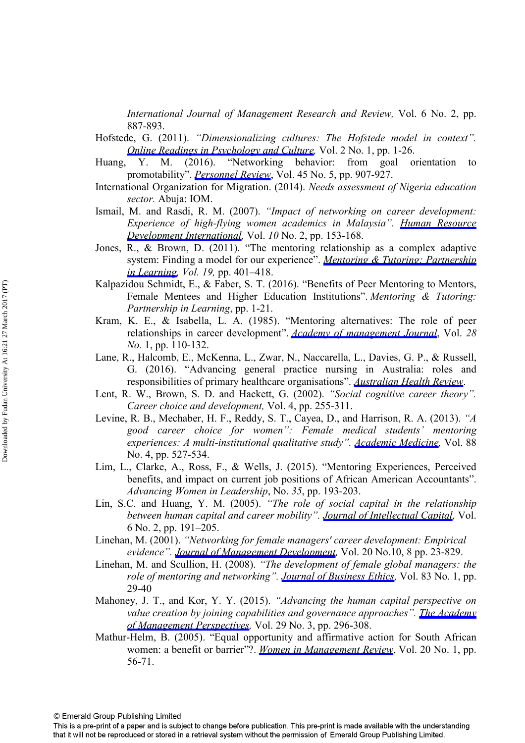*International Journal of Management Research and Review,* Vol. 6 No. 2, pp. 887-893.

Hofstede, G. (2011). *"Dimensionalizing cultures: The Hofstede model in context". [Online Readings in Psychology and Culture,](http://www.emeraldinsight.com/action/showLinks?crossref=10.9707%2F2307-0919.1014)* Vol. 2 No. 1, pp. 1-26.

- Huang, Y. M. (2016). "Networking behavior: from goal orientation to promotability". *[Personnel Review](http://www.emeraldinsight.com/action/showLinks?system=10.1108%2FPR-03-2014-0062)*, Vol. 45 No. 5, pp. 907-927.
- International Organization for Migration. (2014). *Needs assessment of Nigeria education sector.* Abuja: IOM.
- Ismail, M. and Rasdi, R. M. (2007). *"Impact of networking on career development: Experience of high-flying women academics in Malaysia". [Human Resource](http://www.emeraldinsight.com/action/showLinks?crossref=10.1080%2F13678860701347131)  [Development International,](http://www.emeraldinsight.com/action/showLinks?crossref=10.1080%2F13678860701347131)* Vol. *10* No. 2, pp. 153-168.
- Jones, R., & Brown, D. (2011). "The mentoring relationship as a complex adaptive system: Finding a model for our experience". *[Mentoring & Tutoring: Partnership](http://www.emeraldinsight.com/action/showLinks?crossref=10.1080%2F13611267.2011.622077) [in Learning](http://www.emeraldinsight.com/action/showLinks?crossref=10.1080%2F13611267.2011.622077), Vol. 19,* pp. 401–418.
- Kalpazidou Schmidt, E., & Faber, S. T. (2016). "Benefits of Peer Mentoring to Mentors, Female Mentees and Higher Education Institutions". *Mentoring & Tutoring: Partnership in Learning*, pp. 1-21.
- Kram, K. E., & Isabella, L. A. (1985). "Mentoring alternatives: The role of peer relationships in career development". *[Academy of management Journal](http://www.emeraldinsight.com/action/showLinks?crossref=10.2307%2F256064)*, Vol. *28 No.* 1, pp. 110-132.
- Lane, R., Halcomb, E., McKenna, L., Zwar, N., Naccarella, L., Davies, G. P., & Russell, G. (2016). "Advancing general practice nursing in Australia: roles and responsibilities of primary healthcare organisations". *[Australian Health Review](http://www.emeraldinsight.com/action/showLinks?crossref=10.1071%2FAH15239)*.
- Lent, R. W., Brown, S. D. and Hackett, G. (2002). *"Social cognitive career theory". Career choice and development,* Vol. 4, pp. 255-311.
- Levine, R. B., Mechaber, H. F., Reddy, S. T., Cayea, D., and Harrison, R. A. (2013). *"A good career choice for women": Female medical students' mentoring experiences: A multi-institutional qualitative study". [Academic Medicine](http://www.emeraldinsight.com/action/showLinks?crossref=10.1097%2FACM.0b013e31828578bb),* Vol. 88 No. 4, pp. 527-534.
- Lim, L., Clarke, A., Ross, F., & Wells, J. (2015). "Mentoring Experiences, Perceived benefits, and impact on current job positions of African American Accountants". *Advancing Women in Leadership*, No. *35*, pp. 193-203.
- Lin, S.C. and Huang, Y. M. (2005). *"The role of social capital in the relationship between human capital and career mobility". [Journal of Intellectual Capital,](http://www.emeraldinsight.com/action/showLinks?system=10.1108%2F14691930510592799)* Vol. 6 No. 2, pp. 191–205.
- Linehan, M. (2001). *"Networking for female managers' career development: Empirical evidence". [Journal of Management Development](http://www.emeraldinsight.com/action/showLinks?system=10.1108%2FEUM0000000006237),* Vol. 20 No.10, 8 pp. 23-829.
- Linehan, M. and Scullion, H. (2008). *"The development of female global managers: the role of mentoring and networking". [Journal of Business Ethics](http://www.emeraldinsight.com/action/showLinks?crossref=10.1007%2Fs10551-007-9657-0),* Vol. 83 No. 1, pp. 29-40
- Mahoney, J. T., and Kor, Y. Y. (2015). *"Advancing the human capital perspective on value creation by joining capabilities and governance approaches". [The Academy](http://www.emeraldinsight.com/action/showLinks?crossref=10.5465%2Famp.2014.0151) [of Management Perspectives,](http://www.emeraldinsight.com/action/showLinks?crossref=10.5465%2Famp.2014.0151)* Vol. 29 No. 3, pp. 296-308.
- Mathur-Helm, B. (2005). "Equal opportunity and affirmative action for South African women: a benefit or barrier"?. *[Women in Management Review](http://www.emeraldinsight.com/action/showLinks?system=10.1108%2F09649420510579577)*, Vol. 20 No. 1, pp. 56-71.

This is a pre-print of a paper and is subject to change before publication. This pre-print is made available with the understanding that it will not be reproduced or stored in a retrieval system without the permission of Emerald Group Publishing Limited.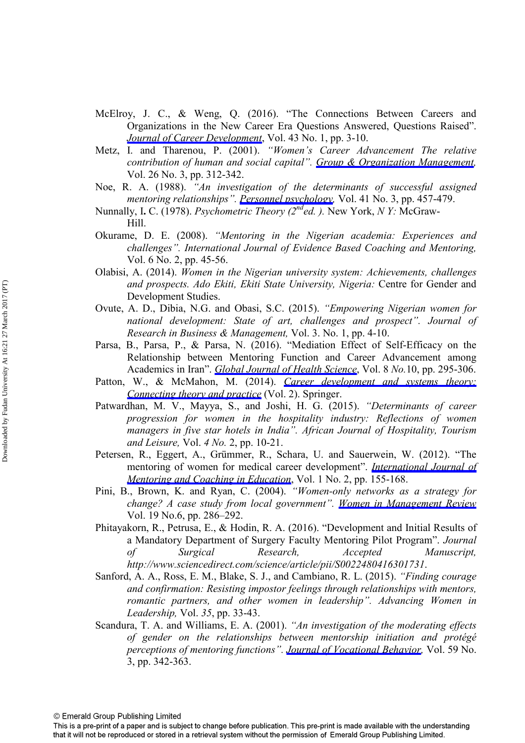- McElroy, J. C., & Weng, Q. (2016). "The Connections Between Careers and Organizations in the New Career Era Questions Answered, Questions Raised". *[Journal of Career Development](http://www.emeraldinsight.com/action/showLinks?crossref=10.1177%2F0894845315604738)*, Vol. 43 No. 1, pp. 3-10.
- Metz, I. and Tharenou, P. (2001). *"Women's Career Advancement The relative contribution of human and social capital". [Group & Organization Management](http://www.emeraldinsight.com/action/showLinks?crossref=10.1177%2F1059601101263005),* Vol. 26 No. 3, pp. 312-342.
- Noe, R. A. (1988). *"An investigation of the determinants of successful assigned mentoring relationships". [Personnel psychology](http://www.emeraldinsight.com/action/showLinks?crossref=10.1111%2Fj.1744-6570.1988.tb00638.x),* Vol. 41 No. 3, pp. 457-479.
- Nunnally, I**.** C. (1978). *Psychometric Theory (2nded. ).* New York, *N Y:* McGraw-Hill.
- Okurame, D. E. (2008). *"Mentoring in the Nigerian academia: Experiences and challenges". International Journal of Evidence Based Coaching and Mentoring,* Vol. 6 No. 2, pp. 45-56.
- Olabisi, A. (2014). *Women in the Nigerian university system: Achievements, challenges and prospects. Ado Ekiti, Ekiti State University, Nigeria:* Centre for Gender and Development Studies.
- Ovute, A. D., Dibia, N.G. and Obasi, S.C. (2015). *"Empowering Nigerian women for national development: State of art, challenges and prospect". Journal of Research in Business & Management,* Vol. 3. No. 1, pp. 4-10.
- Parsa, B., Parsa, P., & Parsa, N. (2016). "Mediation Effect of Self-Efficacy on the Relationship between Mentoring Function and Career Advancement among Academics in Iran". *[Global Journal of Health Science](http://www.emeraldinsight.com/action/showLinks?crossref=10.5539%2Fgjhs.v8n10p295)*, Vol. 8 *No.*10, pp. 295-306.
- Patton, W., & McMahon, M. (2014). *[Career development and systems theory:](http://www.emeraldinsight.com/action/showLinks?crossref=10.1007%2F978-94-6209-635-6) [Connecting theory and practice](http://www.emeraldinsight.com/action/showLinks?crossref=10.1007%2F978-94-6209-635-6)* (Vol. 2). Springer.
- Patwardhan, M. V., Mayya, S., and Joshi, H. G. (2015). *"Determinants of career progression for women in the hospitality industry: Reflections of women managers in five star hotels in India". African Journal of Hospitality, Tourism and Leisure,* Vol. *4 No.* 2, pp. 10-21.
- Petersen, R., Eggert, A., Grümmer, R., Schara, U. and Sauerwein, W. (2012). "The mentoring of women for medical career development". *[International Journal of](http://www.emeraldinsight.com/action/showLinks?system=10.1108%2F20466851211262888) [Mentoring and Coaching in Education](http://www.emeraldinsight.com/action/showLinks?system=10.1108%2F20466851211262888)*, Vol. 1 No. 2, pp. 155-168.
- Pini, B., Brown, K. and Ryan, C. (2004). *"Women-only networks as a strategy for change? A case study from local government". [Women in Management Review](http://www.emeraldinsight.com/action/showLinks?system=10.1108%2F09649420410555051)*  Vol. 19 No.6, pp. 286–292.
- Phitayakorn, R., Petrusa, E., & Hodin, R. A. (2016). "Development and Initial Results of a Mandatory Department of Surgery Faculty Mentoring Pilot Program". *Journal of Surgical Research, Accepted Manuscript, http://www.sciencedirect.com/science/article/pii/S0022480416301731*.
- Sanford, A. A., Ross, E. M., Blake, S. J., and Cambiano, R. L. (2015). *"Finding courage and confirmation: Resisting impostor feelings through relationships with mentors, romantic partners, and other women in leadership". Advancing Women in Leadership,* Vol. *35*, pp. 33-43.
- Scandura, T. A. and Williams, E. A. (2001). *"An investigation of the moderating effects of gender on the relationships between mentorship initiation and protégé perceptions of mentoring functions". [Journal of Vocational Behavior](http://www.emeraldinsight.com/action/showLinks?crossref=10.1006%2Fjvbe.2001.1809),* Vol. 59 No. 3, pp. 342-363.

This is a pre-print of a paper and is subject to change before publication. This pre-print is made available with the understanding that it will not be reproduced or stored in a retrieval system without the permission of Emerald Group Publishing Limited.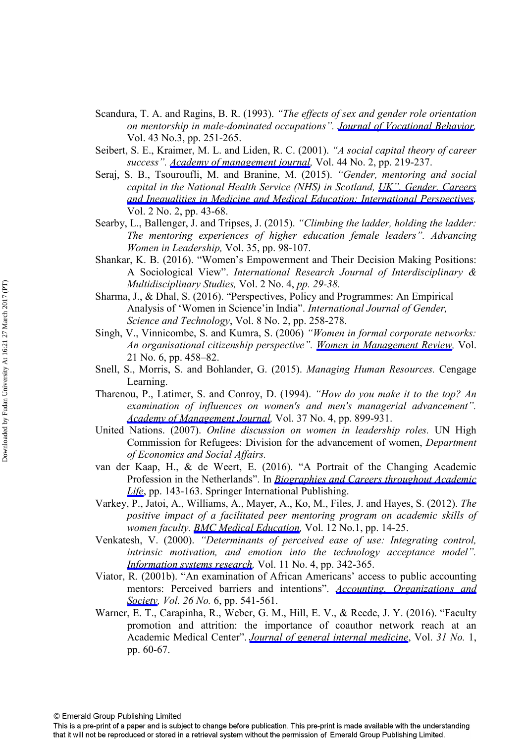- Scandura, T. A. and Ragins, B. R. (1993). *"The effects of sex and gender role orientation on mentorship in male-dominated occupations". [Journal of Vocational Behavior](http://www.emeraldinsight.com/action/showLinks?crossref=10.1006%2Fjvbe.1993.1046),* Vol. 43 No.3, pp. 251-265.
- Seibert, S. E., Kraimer, M. L. and Liden, R. C. (2001). *"A social capital theory of career success". [Academy of management journal,](http://www.emeraldinsight.com/action/showLinks?crossref=10.2307%2F3069452)* Vol. 44 No. 2, pp. 219-237.
- Seraj, S. B., Tsouroufli, M. and Branine, M. (2015). *"Gender, mentoring and social capital in the National Health Service (NHS) in Scotland, UK". Gender, Careers [and Inequalities in Medicine and Medical Education: International Perspectives,](http://www.emeraldinsight.com/action/showLinks?system=10.1108%2FS2051-233320150000002004)*  Vol. 2 No. 2, pp. 43-68.
- Searby, L., Ballenger, J. and Tripses, J. (2015). *"Climbing the ladder, holding the ladder: The mentoring experiences of higher education female leaders". Advancing Women in Leadership,* Vol. 35, pp. 98-107.
- Shankar, K. B. (2016). "Women's Empowerment and Their Decision Making Positions: A Sociological View". *International Research Journal of Interdisciplinary & Multidisciplinary Studies,* Vol. 2 No. 4, *pp. 29-38.*
- Sharma, J., & Dhal, S. (2016). "Perspectives, Policy and Programmes: An Empirical Analysis of 'Women in Science'in India". *International Journal of Gender, Science and Technology*, Vol. 8 No. 2, pp. 258-278.
- Singh, V., Vinnicombe, S. and Kumra, S. (2006) *"Women in formal corporate networks: An organisational citizenship perspective". [Women in Management Review](http://www.emeraldinsight.com/action/showLinks?system=10.1108%2F09649420610683462),* Vol. 21 No. 6, pp. 458–82.
- Snell, S., Morris, S. and Bohlander, G. (2015). *Managing Human Resources.* Cengage Learning.
- Tharenou, P., Latimer, S. and Conroy, D. (1994). *"How do you make it to the top? An examination of influences on women's and men's managerial advancement". [Academy of Management Journal](http://www.emeraldinsight.com/action/showLinks?crossref=10.2307%2F256604),* Vol. 37 No. 4, pp. 899-931.
- United Nations. (2007). *Online discussion on women in leadership roles.* UN High Commission for Refugees: Division for the advancement of women, *Department of Economics and Social Affairs.*
- van der Kaap, H., & de Weert, E. (2016). "A Portrait of the Changing Academic Profession in the Netherlands". In *[Biographies and Careers throughout Academic](http://www.emeraldinsight.com/action/showLinks?crossref=10.1007%2F978-3-319-27493-5_9) [Life](http://www.emeraldinsight.com/action/showLinks?crossref=10.1007%2F978-3-319-27493-5_9)*, pp. 143-163. Springer International Publishing.
- Varkey, P., Jatoi, A., Williams, A., Mayer, A., Ko, M., Files, J. and Hayes, S. (2012). *The positive impact of a facilitated peer mentoring program on academic skills of women faculty. [BMC Medical Education,](http://www.emeraldinsight.com/action/showLinks?crossref=10.1186%2F1472-6920-12-14)* Vol. 12 No.1, pp. 14-25.
- Venkatesh, V. (2000). *"Determinants of perceived ease of use: Integrating control, intrinsic motivation, and emotion into the technology acceptance model". [Information systems research,](http://www.emeraldinsight.com/action/showLinks?crossref=10.1287%2Fisre.11.4.342.11872)* Vol. 11 No. 4, pp. 342-365.
- Viator, R. (2001b). "An examination of African Americans' access to public accounting mentors: Perceived barriers and intentions". *[Accounting, Organizations and](http://www.emeraldinsight.com/action/showLinks?crossref=10.1016%2FS0361-3682%2801%2900005-8) [Society,](http://www.emeraldinsight.com/action/showLinks?crossref=10.1016%2FS0361-3682%2801%2900005-8) Vol. 26 No.* 6, pp. 541-561.
- Warner, E. T., Carapinha, R., Weber, G. M., Hill, E. V., & Reede, J. Y. (2016). "Faculty promotion and attrition: the importance of coauthor network reach at an Academic Medical Center". *[Journal of general internal medicine](http://www.emeraldinsight.com/action/showLinks?crossref=10.1007%2Fs11606-015-3463-7)*, Vol. *31 No.* 1, pp. 60-67.

This is a pre-print of a paper and is subject to change before publication. This pre-print is made available with the understanding that it will not be reproduced or stored in a retrieval system without the permission of Emerald Group Publishing Limited.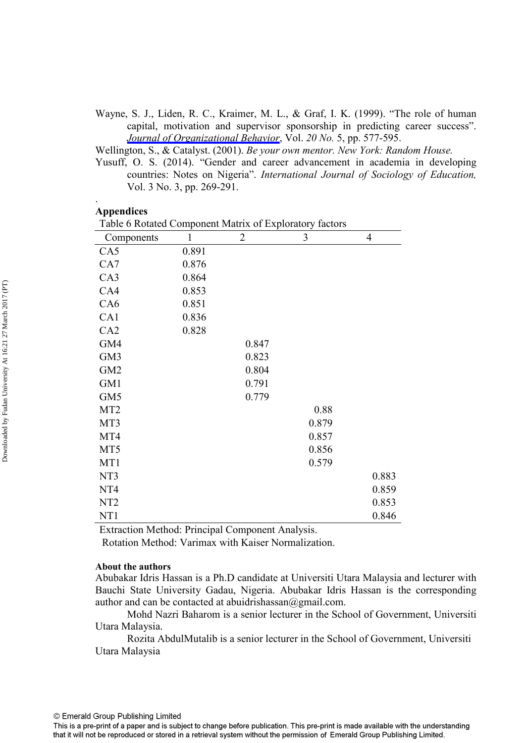Wayne, S. J., Liden, R. C., Kraimer, M. L., & Graf, I. K. (1999). "The role of human capital, motivation and supervisor sponsorship in predicting career success". *[Journal of Organizational Behavior](http://www.emeraldinsight.com/action/showLinks?crossref=10.1002%2F%28SICI%291099-1379%28199909%2920%3A5%3C577%3A%3AAID-JOB958%3E3.0.CO%3B2-0)*, Vol. *20 No.* 5, pp. 577-595.

Wellington, S., & Catalyst. (2001). *Be your own mentor. New York: Random House.* 

Yusuff, O. S. (2014). "Gender and career advancement in academia in developing countries: Notes on Nigeria". *International Journal of Sociology of Education,*  Vol. 3 No. 3, pp. 269-291.

#### **Appendices**

.

|                 |       | Table 6 Rotated Component Matrix of Exploratory factors |       |       |  |  |  |  |
|-----------------|-------|---------------------------------------------------------|-------|-------|--|--|--|--|
| Components      |       | $\overline{2}$                                          | 3     | 4     |  |  |  |  |
| CA5             | 0.891 |                                                         |       |       |  |  |  |  |
| CA7             | 0.876 |                                                         |       |       |  |  |  |  |
| CA3             | 0.864 |                                                         |       |       |  |  |  |  |
| CA4             | 0.853 |                                                         |       |       |  |  |  |  |
| CA6             | 0.851 |                                                         |       |       |  |  |  |  |
| CA1             | 0.836 |                                                         |       |       |  |  |  |  |
| CA2             | 0.828 |                                                         |       |       |  |  |  |  |
| GM4             |       | 0.847                                                   |       |       |  |  |  |  |
| GM3             |       | 0.823                                                   |       |       |  |  |  |  |
| GM <sub>2</sub> |       | 0.804                                                   |       |       |  |  |  |  |
| GM1             |       | 0.791                                                   |       |       |  |  |  |  |
| GM5             |       | 0.779                                                   |       |       |  |  |  |  |
| MT <sub>2</sub> |       |                                                         | 0.88  |       |  |  |  |  |
| MT3             |       |                                                         | 0.879 |       |  |  |  |  |
| MT4             |       |                                                         | 0.857 |       |  |  |  |  |
| MT5             |       |                                                         | 0.856 |       |  |  |  |  |
| MT1             |       |                                                         | 0.579 |       |  |  |  |  |
| NT3             |       |                                                         |       | 0.883 |  |  |  |  |
| NT <sub>4</sub> |       |                                                         |       | 0.859 |  |  |  |  |
| NT <sub>2</sub> |       |                                                         |       | 0.853 |  |  |  |  |
| NT1             |       |                                                         |       | 0.846 |  |  |  |  |

Extraction Method: Principal Component Analysis.

Rotation Method: Varimax with Kaiser Normalization.

## **About the authors**

Abubakar Idris Hassan is a Ph.D candidate at Universiti Utara Malaysia and lecturer with Bauchi State University Gadau, Nigeria. Abubakar Idris Hassan is the corresponding author and can be contacted at abuidrishassan $@g$ mail.com.

Mohd Nazri Baharom is a senior lecturer in the School of Government, Universiti Utara Malaysia.

Rozita AbdulMutalib is a senior lecturer in the School of Government, Universiti Utara Malaysia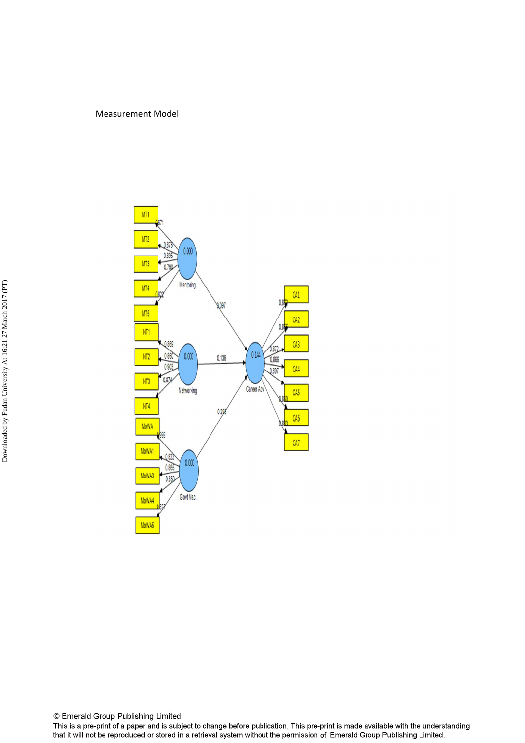## Measurement Model



© Emerald Group Publishing Limited